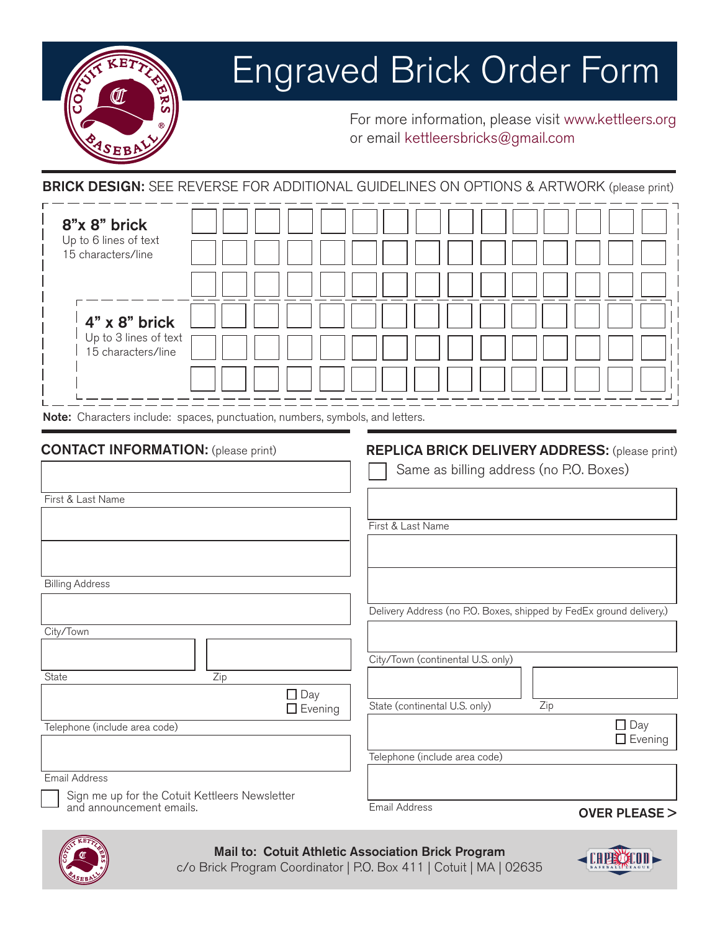

## Engraved Brick Order Form

For more information, please visit www.kettleers.org or email kettleersbricks@gmail.com

**BRICK DESIGN:** SEE REVERSE FOR ADDITIONAL GUIDELINES ON OPTIONS & ARTWORK (please print)

| 8"x 8" brick<br>Up to 6 lines of text<br>15 characters/line                   |  |  |  |  |  |
|-------------------------------------------------------------------------------|--|--|--|--|--|
| $4" \times 8"$ brick                                                          |  |  |  |  |  |
| Up to 3 lines of text<br>15 characters/line                                   |  |  |  |  |  |
| Note: Characters include: spaces, punctuation, numbers, symbols, and letters. |  |  |  |  |  |

#### CONTACT INFORMATION: (please print)

### REPLICA BRICK DELIVERY ADDRESS: (please print)

|                                                                            | Same as billing address (no P.O. Boxes)                             |
|----------------------------------------------------------------------------|---------------------------------------------------------------------|
| First & Last Name                                                          |                                                                     |
|                                                                            |                                                                     |
|                                                                            | First & Last Name                                                   |
|                                                                            |                                                                     |
|                                                                            |                                                                     |
| <b>Billing Address</b>                                                     |                                                                     |
|                                                                            |                                                                     |
|                                                                            | Delivery Address (no P.O. Boxes, shipped by FedEx ground delivery.) |
| City/Town                                                                  |                                                                     |
|                                                                            | City/Town (continental U.S. only)                                   |
| State<br>Zip                                                               |                                                                     |
| $\Box$ Day                                                                 |                                                                     |
| $\Box$ Evening                                                             | State (continental U.S. only)<br>Zip                                |
| Telephone (include area code)                                              | $\Box$ Day                                                          |
|                                                                            | $\Box$ Evening                                                      |
|                                                                            | Telephone (include area code)                                       |
| <b>Email Address</b>                                                       |                                                                     |
| Sign me up for the Cotuit Kettleers Newsletter<br>and announcement emails. |                                                                     |
|                                                                            | Email Address<br>$OVER$ PI FASE $>$                                 |



Mail to: Cotuit Athletic Association Brick Program

c/o Brick Program Coordinator | P.O. Box 411 | Cotuit | MA | 02635